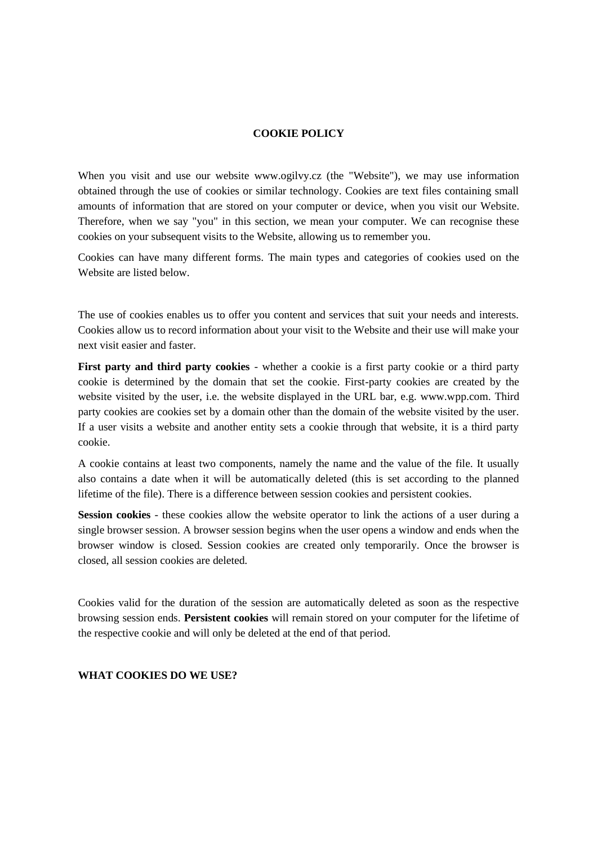## **COOKIE POLICY**

When you visit and use our website www.ogilvy.cz (the "Website"), we may use information obtained through the use of cookies or similar technology. Cookies are text files containing small amounts of information that are stored on your computer or device, when you visit our Website. Therefore, when we say "you" in this section, we mean your computer. We can recognise these cookies on your subsequent visits to the Website, allowing us to remember you.

Cookies can have many different forms. The main types and categories of cookies used on the Website are listed below.

The use of cookies enables us to offer you content and services that suit your needs and interests. Cookies allow us to record information about your visit to the Website and their use will make your next visit easier and faster.

**First party and third party cookies** - whether a cookie is a first party cookie or a third party cookie is determined by the domain that set the cookie. First-party cookies are created by the website visited by the user, i.e. the website displayed in the URL bar, e.g. www.wpp.com. Third party cookies are cookies set by a domain other than the domain of the website visited by the user. If a user visits a website and another entity sets a cookie through that website, it is a third party cookie.

A cookie contains at least two components, namely the name and the value of the file. It usually also contains a date when it will be automatically deleted (this is set according to the planned lifetime of the file). There is a difference between session cookies and persistent cookies.

**Session cookies** - these cookies allow the website operator to link the actions of a user during a single browser session. A browser session begins when the user opens a window and ends when the browser window is closed. Session cookies are created only temporarily. Once the browser is closed, all session cookies are deleted.

Cookies valid for the duration of the session are automatically deleted as soon as the respective browsing session ends. **Persistent cookies** will remain stored on your computer for the lifetime of the respective cookie and will only be deleted at the end of that period.

#### **WHAT COOKIES DO WE USE?**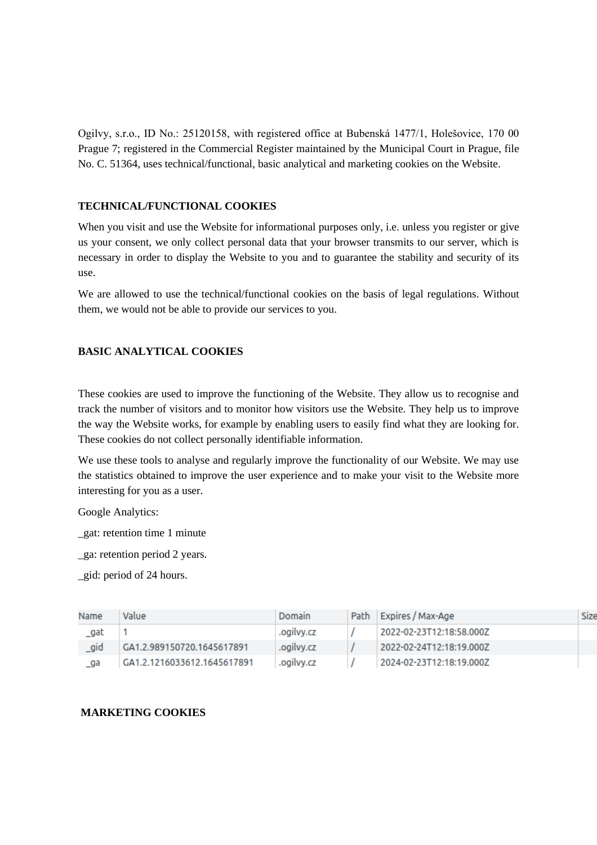Ogilvy, s.r.o., ID No.: 25120158, with registered office at Bubenská 1477/1, Holešovice, 170 00 Prague 7; registered in the Commercial Register maintained by the Municipal Court in Prague, file No. C. 51364, uses technical/functional, basic analytical and marketing cookies on the Website.

## **TECHNICAL/FUNCTIONAL COOKIES**

When you visit and use the Website for informational purposes only, *i.e.* unless you register or give us your consent, we only collect personal data that your browser transmits to our server, which is necessary in order to display the Website to you and to guarantee the stability and security of its use.

We are allowed to use the technical/functional cookies on the basis of legal regulations. Without them, we would not be able to provide our services to you.

# **BASIC ANALYTICAL COOKIES**

These cookies are used to improve the functioning of the Website. They allow us to recognise and track the number of visitors and to monitor how visitors use the Website. They help us to improve the way the Website works, for example by enabling users to easily find what they are looking for. These cookies do not collect personally identifiable information.

We use these tools to analyse and regularly improve the functionality of our Website. We may use the statistics obtained to improve the user experience and to make your visit to the Website more interesting for you as a user.

Google Analytics:

\_gat: retention time 1 minute

\_ga: retention period 2 years.

\_gid: period of 24 hours.

| Name | Value                       | Domain     | Path Expires / Max-Age   | Size |
|------|-----------------------------|------------|--------------------------|------|
| gat  |                             | .ogilvy.cz | 2022-02-23T12:18:58.000Z |      |
| gid  | GA1.2.989150720.1645617891  | .ogilvy.cz | 2022-02-24T12:18:19.000Z |      |
| ga   | GA1.2.1216033612.1645617891 | .ogilvv.cz | 2024-02-23T12:18:19.000Z |      |

# **MARKETING COOKIES**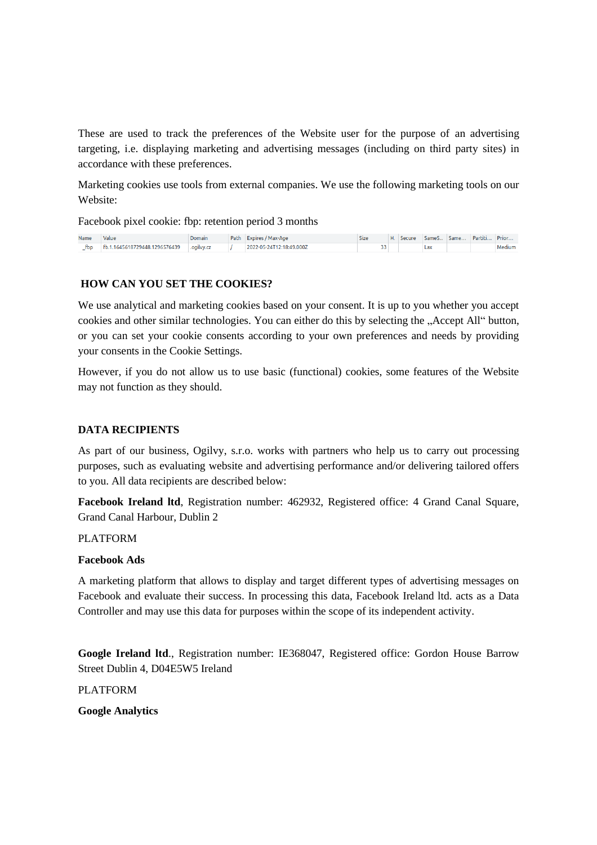These are used to track the preferences of the Website user for the purpose of an advertising targeting, i.e. displaying marketing and advertising messages (including on third party sites) in accordance with these preferences.

Marketing cookies use tools from external companies. We use the following marketing tools on our Website:

Facebook pixel cookie: fbp: retention period 3 months

| Name | Value                            | Domain     | Path Expires / Max-Age   | Size | Secure | SameS | Same | Partiti | Prior  |
|------|----------------------------------|------------|--------------------------|------|--------|-------|------|---------|--------|
| fbp  | 1645618729448.1296576439<br>Fb.1 | .ogilvy.cz | 2022-05-24T12:18:49.000Z |      |        | Lda   |      |         | Medium |

## **HOW CAN YOU SET THE COOKIES?**

We use analytical and marketing cookies based on your consent. It is up to you whether you accept cookies and other similar technologies. You can either do this by selecting the "Accept All" button, or you can set your cookie consents according to your own preferences and needs by providing your consents in the Cookie Settings.

However, if you do not allow us to use basic (functional) cookies, some features of the Website may not function as they should.

## **DATA RECIPIENTS**

As part of our business, Ogilvy, s.r.o. works with partners who help us to carry out processing purposes, such as evaluating website and advertising performance and/or delivering tailored offers to you. All data recipients are described below:

**Facebook Ireland ltd**, Registration number: 462932, Registered office: 4 Grand Canal Square, Grand Canal Harbour, Dublin 2

PLATFORM

#### **Facebook Ads**

A marketing platform that allows to display and target different types of advertising messages on Facebook and evaluate their success. In processing this data, Facebook Ireland ltd. acts as a Data Controller and may use this data for purposes within the scope of its independent activity.

**Google Ireland ltd**., Registration number: IE368047, Registered office: Gordon House Barrow Street Dublin 4, D04E5W5 Ireland

PLATFORM

**Google Analytics**